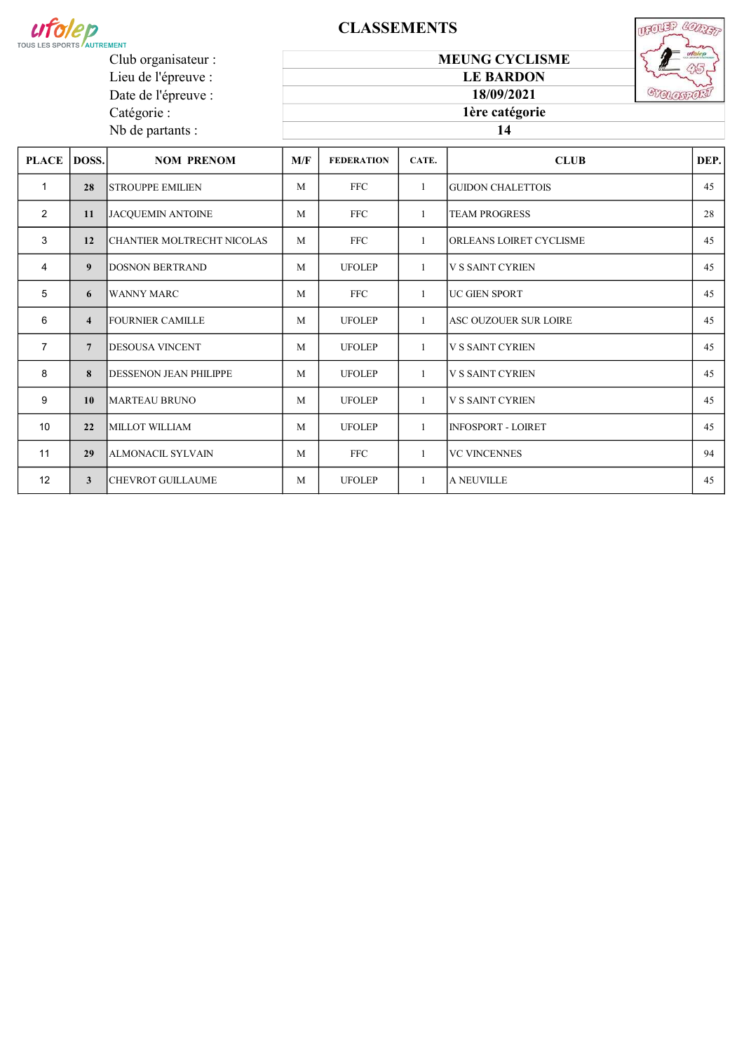

Catégorie : Nb de partants :

# **CLASSEMENTS**

UFOLER CONST **STELOSTORI** 

Lieu de l'épreuve : Date de l'épreuve :

18/09/2021 1ère catégorie

MEUNG CYCLISME LE BARDON

### 14

| <b>PLACE</b>   | DOSS.                   | <b>NOM PRENOM</b>              | M/F | <b>FEDERATION</b> | CATE.        | <b>CLUB</b>               | DEP. |
|----------------|-------------------------|--------------------------------|-----|-------------------|--------------|---------------------------|------|
| $\mathbf{1}$   | 28                      | ISTROUPPE EMILIEN              | M   | <b>FFC</b>        | $\mathbf{1}$ | <b>GUIDON CHALETTOIS</b>  | 45   |
| 2              | 11                      | <b>JACQUEMIN ANTOINE</b>       | M   | <b>FFC</b>        | $\mathbf{1}$ | <b>TEAM PROGRESS</b>      | 28   |
| 3              | 12                      | ICHANTIER MOLTRECHT NICOLAS    | M   | FFC               | $\mathbf{1}$ | ORLEANS LOIRET CYCLISME   | 45   |
| $\overline{4}$ | 9                       | <b>DOSNON BERTRAND</b>         | M   | <b>UFOLEP</b>     | $\mathbf{1}$ | <b>V S SAINT CYRIEN</b>   | 45   |
| 5              | 6                       | WANNY MARC                     | M   | <b>FFC</b>        | $\mathbf{1}$ | <b>IUC GIEN SPORT</b>     | 45   |
| 6              | $\overline{\mathbf{4}}$ | <b>IFOURNIER CAMILLE</b>       | M   | <b>UFOLEP</b>     | $\mathbf{1}$ | ASC OUZOUER SUR LOIRE     | 45   |
| $\overline{7}$ | $\overline{7}$          | <b>IDESOUSA VINCENT</b>        | M   | <b>UFOLEP</b>     | $\mathbf{1}$ | <b>V S SAINT CYRIEN</b>   | 45   |
| 8              | 8                       | <b>IDESSENON JEAN PHILIPPE</b> | M   | <b>UFOLEP</b>     | $\mathbf{1}$ | <b>V S SAINT CYRIEN</b>   | 45   |
| 9              | 10                      | MARTEAU BRUNO                  | M   | <b>UFOLEP</b>     | $\mathbf{1}$ | <b>V S SAINT CYRIEN</b>   | 45   |
| 10             | 22                      | MILLOT WILLIAM                 | M   | <b>UFOLEP</b>     | $\mathbf{1}$ | <b>INFOSPORT - LOIRET</b> | 45   |
| 11             | 29                      | ALMONACIL SYLVAIN              | M   | <b>FFC</b>        | $\mathbf{1}$ | <b>VC VINCENNES</b>       | 94   |
| 12             | 3 <sup>1</sup>          | CHEVROT GUILLAUME              | M   | <b>UFOLEP</b>     | $\mathbf{1}$ | <b>A NEUVILLE</b>         | 45   |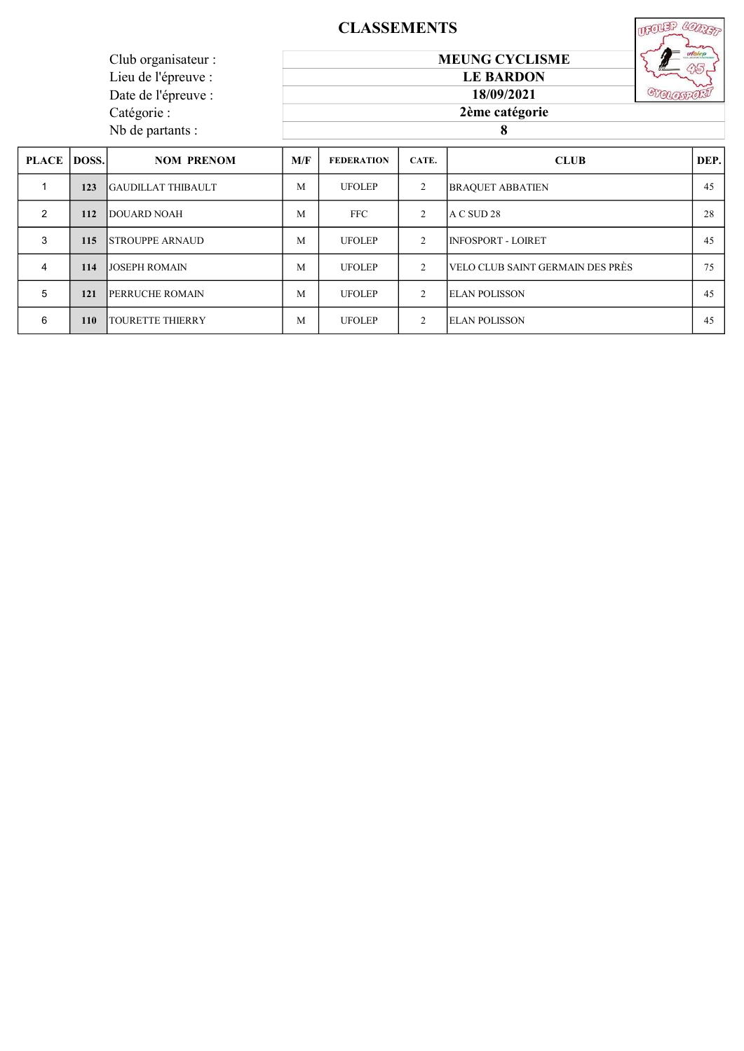# CLASSEMENTS

|                     | <b>CLASSEMENTS</b>    |  |
|---------------------|-----------------------|--|
| Club organisateur : | <b>MEUNG CYCLISME</b> |  |
| Lieu de l'épreuve : | <b>LE BARDON</b>      |  |
| Date de l'épreuve : | 18/09/2021            |  |
| Catégorie :         | 2ème catégorie        |  |
| Nb de partants :    |                       |  |

| PLACE DOSS.   |            | <b>NOM PRENOM</b>         | M/F | <b>FEDERATION</b> | CATE.          | <b>CLUB</b>                      | DEP. |
|---------------|------------|---------------------------|-----|-------------------|----------------|----------------------------------|------|
|               | 123        | <b>GAUDILLAT THIBAULT</b> | M   | <b>UFOLEP</b>     | $\overline{2}$ | <b>BRAQUET ABBATIEN</b>          | 45   |
| $\mathcal{P}$ | 112        | <b>DOUARD NOAH</b>        | M   | FFC .             | 2              | A C SUD 28                       | 28   |
| 3             | 115        | <b>STROUPPE ARNAUD</b>    | M   | <b>UFOLEP</b>     | $\mathfrak{D}$ | INFOSPORT - LOIRET               | 45   |
| 4             | 114        | <b>JJOSEPH ROMAIN</b>     | M   | <b>UFOLEP</b>     | 2              | VELO CLUB SAINT GERMAIN DES PRÈS | 75   |
| 5             | 121        | <b>IPERRUCHE ROMAIN</b>   | M   | <b>UFOLEP</b>     | $\overline{2}$ | <b>ELAN POLISSON</b>             | 45   |
| 6             | <b>110</b> | ITOURETTE THIERRY         | M   | <b>UFOLEP</b>     | 2              | <b>ELAN POLISSON</b>             | 45   |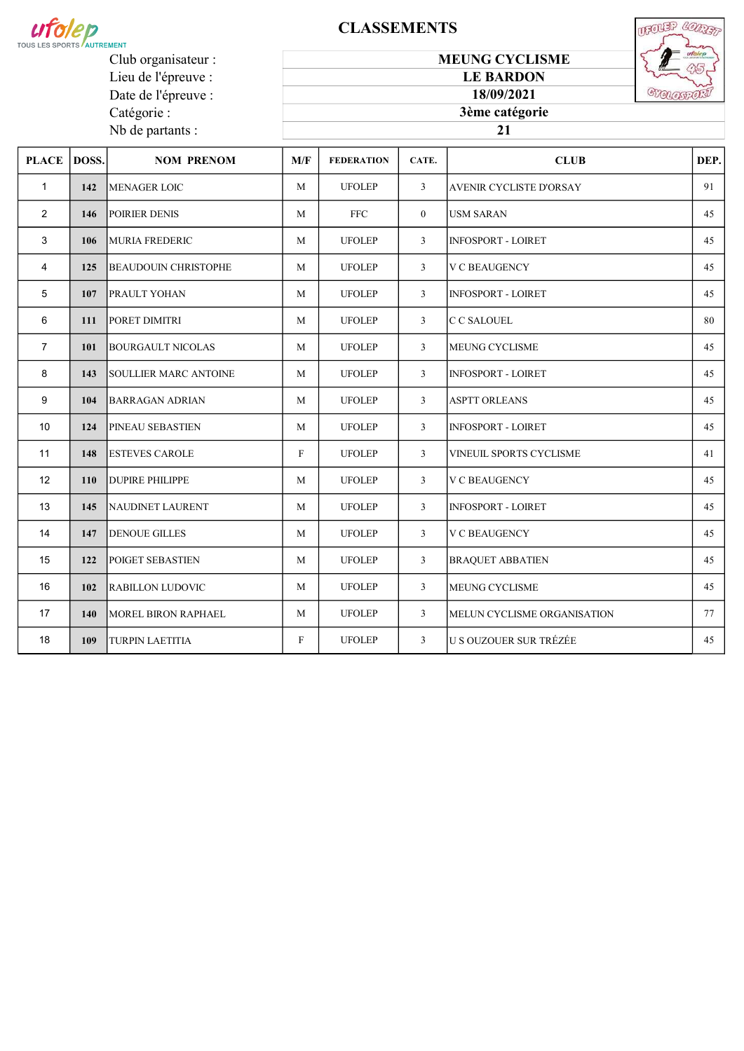

## **CLASSEMENTS**

MEUNG CYCLISME LE BARDON



Club organisateur : Lieu de l'épreuve : Date de l'épreuve : Catégorie : Nb de partants :

#### 

| PLACE  DOSS.    |            | <b>NOM PRENOM</b>            | M/F          | <b>FEDERATION</b> | CATE.          | <b>CLUB</b>                    | DEP. |
|-----------------|------------|------------------------------|--------------|-------------------|----------------|--------------------------------|------|
| $\mathbf{1}$    | 142        | MENAGER LOIC                 | M            | <b>UFOLEP</b>     | 3              | <b>AVENIR CYCLISTE D'ORSAY</b> | 91   |
| $\overline{2}$  | 146        | <b>POIRIER DENIS</b>         | M            | <b>FFC</b>        | $\overline{0}$ | <b>USM SARAN</b>               | 45   |
| 3               | 106        | <b>MURIA FREDERIC</b>        | M            | <b>UFOLEP</b>     | 3              | <b>INFOSPORT - LOIRET</b>      | 45   |
| 4               | 125        | <b>BEAUDOUIN CHRISTOPHE</b>  | M            | <b>UFOLEP</b>     | 3              | <b>V C BEAUGENCY</b>           | 45   |
| 5               | 107        | <b>PRAULT YOHAN</b>          | M            | <b>UFOLEP</b>     | $\mathbf{3}$   | <b>INFOSPORT - LOIRET</b>      | 45   |
| 6               | 111        | PORET DIMITRI                | M            | <b>UFOLEP</b>     | $\mathfrak{Z}$ | C C SALOUEL                    | 80   |
| $\overline{7}$  | 101        | BOURGAULT NICOLAS            | M            | <b>UFOLEP</b>     | $\mathbf{3}$   | <b>MEUNG CYCLISME</b>          | 45   |
| 8               | 143        | <b>SOULLIER MARC ANTOINE</b> | M            | <b>UFOLEP</b>     | 3              | <b>INFOSPORT - LOIRET</b>      | 45   |
| 9               | 104        | <b>BARRAGAN ADRIAN</b>       | M            | <b>UFOLEP</b>     | $\mathbf{3}$   | <b>ASPTT ORLEANS</b>           | 45   |
| 10 <sup>1</sup> | 124        | <b>PINEAU SEBASTIEN</b>      | M            | <b>UFOLEP</b>     | $\mathbf{3}$   | <b>INFOSPORT - LOIRET</b>      | 45   |
| 11              | 148        | <b>ESTEVES CAROLE</b>        | $\mathbf{F}$ | <b>UFOLEP</b>     | $\mathbf{3}$   | VINEUIL SPORTS CYCLISME        | 41   |
| 12 <sup>2</sup> | <b>110</b> | <b>DUPIRE PHILIPPE</b>       | M            | <b>UFOLEP</b>     | $\mathfrak{Z}$ | <b>V C BEAUGENCY</b>           | 45   |
| 13              | 145        | NAUDINET LAURENT             | M            | <b>UFOLEP</b>     | $\mathfrak{Z}$ | <b>INFOSPORT - LOIRET</b>      | 45   |
| 14              | 147        | <b>DENOUE GILLES</b>         | M            | <b>UFOLEP</b>     | $\mathfrak{Z}$ | <b>V C BEAUGENCY</b>           | 45   |
| 15              | 122        | POIGET SEBASTIEN             | M            | <b>UFOLEP</b>     | $\mathfrak{Z}$ | <b>BRAQUET ABBATIEN</b>        | 45   |
| 16              | 102        | <b>RABILLON LUDOVIC</b>      | M            | <b>UFOLEP</b>     | $\mathfrak{Z}$ | <b>MEUNG CYCLISME</b>          | 45   |
| 17              | 140        | MOREL BIRON RAPHAEL          | M            | <b>UFOLEP</b>     | 3              | MELUN CYCLISME ORGANISATION    | 77   |
| 18              | 109        | <b>TURPIN LAETITIA</b>       | $_{\rm F}$   | <b>UFOLEP</b>     | 3              | <b>U S OUZOUER SUR TRÉZÉE</b>  | 45   |
|                 |            |                              |              |                   |                |                                |      |